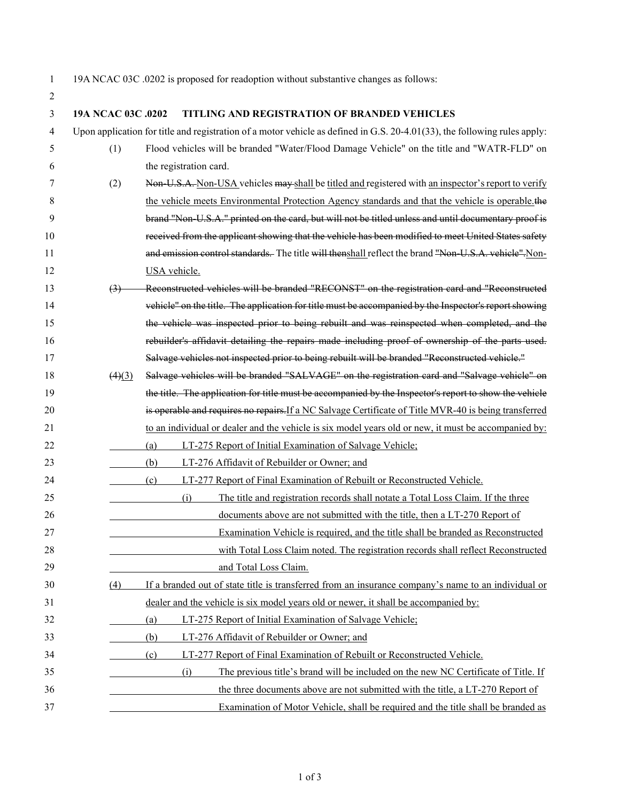19A NCAC 03C .0202 is proposed for readoption without substantive changes as follows:

| 3  | 19A NCAC 03C .0202             | TITLING AND REGISTRATION OF BRANDED VEHICLES                                                                                 |
|----|--------------------------------|------------------------------------------------------------------------------------------------------------------------------|
| 4  |                                | Upon application for title and registration of a motor vehicle as defined in G.S. $20-4.01(33)$ , the following rules apply: |
| 5  | (1)                            | Flood vehicles will be branded "Water/Flood Damage Vehicle" on the title and "WATR-FLD" on                                   |
| 6  |                                | the registration card.                                                                                                       |
| 7  | (2)                            | Non U.S.A. Non-USA vehicles may shall be titled and registered with an inspector's report to verify                          |
| 8  |                                | the vehicle meets Environmental Protection Agency standards and that the vehicle is operable. the                            |
| 9  |                                | brand "Non-U.S.A." printed on the card, but will not be titled unless and until documentary proof is                         |
| 10 |                                | received from the applicant showing that the vehicle has been modified to meet United States safety                          |
| 11 |                                | and emission control standards. The title will thenshall reflect the brand "Non U.S.A. vehicle". Non-                        |
| 12 |                                | USA vehicle.                                                                                                                 |
| 13 | $\left(3\right)$               | Reconstructed vehicles will be branded "RECONST" on the registration card and "Reconstructed                                 |
| 14 |                                | vehicle" on the title. The application for title must be accompanied by the Inspector's report showing                       |
| 15 |                                | the vehicle was inspected prior to being rebuilt and was reinspected when completed, and the                                 |
| 16 |                                | rebuilder's affidavit detailing the repairs made including proof of ownership of the parts used.                             |
| 17 |                                | Salvage vehicles not inspected prior to being rebuilt will be branded "Reconstructed vehicle."                               |
| 18 | $\left(4\right)\left(3\right)$ | Salvage vehicles will be branded "SALVAGE" on the registration card and "Salvage vehicle" on                                 |
| 19 |                                | the title. The application for title must be accompanied by the Inspector's report to show the vehicle                       |
| 20 |                                | is operable and requires no repairs. If a NC Salvage Certificate of Title MVR-40 is being transferred                        |
| 21 |                                | to an individual or dealer and the vehicle is six model years old or new, it must be accompanied by:                         |
| 22 |                                | (a)<br>LT-275 Report of Initial Examination of Salvage Vehicle;                                                              |
| 23 |                                | (b)<br>LT-276 Affidavit of Rebuilder or Owner; and                                                                           |
| 24 |                                | LT-277 Report of Final Examination of Rebuilt or Reconstructed Vehicle.<br>(c)                                               |
| 25 |                                | The title and registration records shall notate a Total Loss Claim. If the three<br>(i)                                      |
| 26 |                                | documents above are not submitted with the title, then a LT-270 Report of                                                    |
| 27 |                                | Examination Vehicle is required, and the title shall be branded as Reconstructed                                             |
| 28 |                                | with Total Loss Claim noted. The registration records shall reflect Reconstructed                                            |
| 29 |                                | and Total Loss Claim.                                                                                                        |
| 30 | (4)                            | If a branded out of state title is transferred from an insurance company's name to an individual or                          |
| 31 |                                | dealer and the vehicle is six model years old or newer, it shall be accompanied by:                                          |
| 32 |                                | LT-275 Report of Initial Examination of Salvage Vehicle;<br>(a)                                                              |
| 33 |                                | LT-276 Affidavit of Rebuilder or Owner; and<br>(b)                                                                           |
| 34 |                                | (c)<br>LT-277 Report of Final Examination of Rebuilt or Reconstructed Vehicle.                                               |
| 35 |                                | The previous title's brand will be included on the new NC Certificate of Title. If<br>(i)                                    |
| 36 |                                | the three documents above are not submitted with the title, a LT-270 Report of                                               |
| 37 |                                | Examination of Motor Vehicle, shall be required and the title shall be branded as                                            |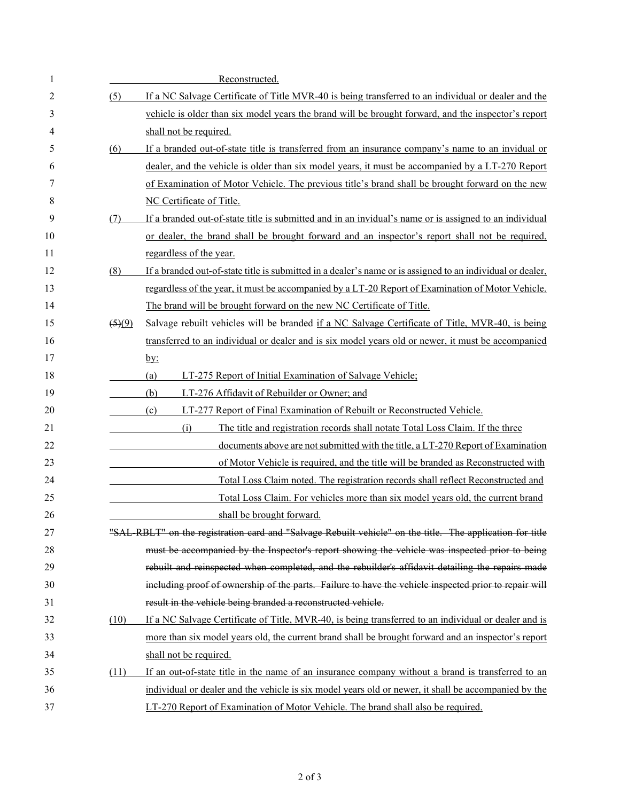| 1  |                                | Reconstructed.                                                                                             |
|----|--------------------------------|------------------------------------------------------------------------------------------------------------|
| 2  | (5)                            | If a NC Salvage Certificate of Title MVR-40 is being transferred to an individual or dealer and the        |
| 3  |                                | vehicle is older than six model years the brand will be brought forward, and the inspector's report        |
| 4  |                                | shall not be required.                                                                                     |
| 5  | (6)                            | If a branded out-of-state title is transferred from an insurance company's name to an invidual or          |
| 6  |                                | dealer, and the vehicle is older than six model years, it must be accompanied by a LT-270 Report           |
| 7  |                                | of Examination of Motor Vehicle. The previous title's brand shall be brought forward on the new            |
| 8  |                                | NC Certificate of Title.                                                                                   |
| 9  | (7)                            | If a branded out-of-state title is submitted and in an invidual's name or is assigned to an individual     |
| 10 |                                | or dealer, the brand shall be brought forward and an inspector's report shall not be required,             |
| 11 |                                | regardless of the year.                                                                                    |
| 12 | (8)                            | If a branded out-of-state title is submitted in a dealer's name or is assigned to an individual or dealer, |
| 13 |                                | regardless of the year, it must be accompanied by a LT-20 Report of Examination of Motor Vehicle.          |
| 14 |                                | The brand will be brought forward on the new NC Certificate of Title.                                      |
| 15 | $\left(5\right)\left(9\right)$ | Salvage rebuilt vehicles will be branded if a NC Salvage Certificate of Title, MVR-40, is being            |
| 16 |                                | transferred to an individual or dealer and is six model years old or newer, it must be accompanied         |
| 17 |                                | <u>by:</u>                                                                                                 |
| 18 |                                | LT-275 Report of Initial Examination of Salvage Vehicle;<br>(a)                                            |
| 19 |                                | LT-276 Affidavit of Rebuilder or Owner; and<br>(b)                                                         |
| 20 |                                | LT-277 Report of Final Examination of Rebuilt or Reconstructed Vehicle.<br>(c)                             |
| 21 |                                | The title and registration records shall notate Total Loss Claim. If the three<br>(i)                      |
| 22 |                                | documents above are not submitted with the title, a LT-270 Report of Examination                           |
| 23 |                                | of Motor Vehicle is required, and the title will be branded as Reconstructed with                          |
| 24 |                                | Total Loss Claim noted. The registration records shall reflect Reconstructed and                           |
| 25 |                                | Total Loss Claim. For vehicles more than six model years old, the current brand                            |
| 26 |                                | shall be brought forward.                                                                                  |
| 27 |                                | "SAL RBLT" on the registration card and "Salvage Rebuilt vehicle" on the title. The application for title  |
| 28 |                                | must be accompanied by the Inspector's report showing the vehicle was inspected prior to being             |
| 29 |                                | rebuilt and reinspected when completed, and the rebuilder's affidavit detailing the repairs made           |
| 30 |                                | including proof of ownership of the parts. Failure to have the vehicle inspected prior to repair will      |
| 31 |                                | result in the vehicle being branded a reconstructed vehicle.                                               |
| 32 | (10)                           | If a NC Salvage Certificate of Title, MVR-40, is being transferred to an individual or dealer and is       |
| 33 |                                | more than six model years old, the current brand shall be brought forward and an inspector's report        |
| 34 |                                | shall not be required.                                                                                     |
| 35 | (11)                           | If an out-of-state title in the name of an insurance company without a brand is transferred to an          |
| 36 |                                | individual or dealer and the vehicle is six model years old or newer, it shall be accompanied by the       |
| 37 |                                | LT-270 Report of Examination of Motor Vehicle. The brand shall also be required.                           |